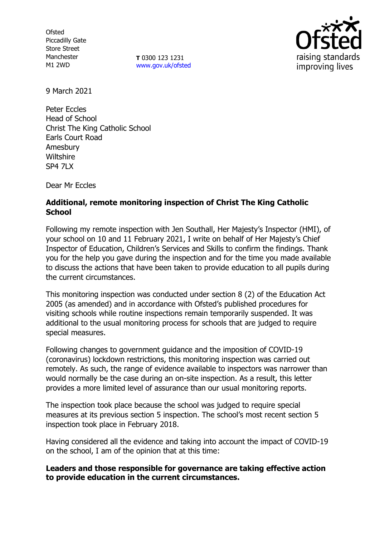**Ofsted** Piccadilly Gate Store Street Manchester M1 2WD

**T** 0300 123 1231 [www.gov.uk/ofsted](http://www.gov.uk/ofsted)



9 March 2021

Peter Eccles Head of School Christ The King Catholic School Earls Court Road Amesbury **Wiltshire** SP4 7LX

Dear Mr Eccles

# **Additional, remote monitoring inspection of Christ The King Catholic School**

Following my remote inspection with Jen Southall, Her Majesty's Inspector (HMI), of your school on 10 and 11 February 2021, I write on behalf of Her Majesty's Chief Inspector of Education, Children's Services and Skills to confirm the findings. Thank you for the help you gave during the inspection and for the time you made available to discuss the actions that have been taken to provide education to all pupils during the current circumstances.

This monitoring inspection was conducted under section 8 (2) of the Education Act 2005 (as amended) and in accordance with Ofsted's published procedures for visiting schools while routine inspections remain temporarily suspended. It was additional to the usual monitoring process for schools that are judged to require special measures.

Following changes to government guidance and the imposition of COVID-19 (coronavirus) lockdown restrictions, this monitoring inspection was carried out remotely. As such, the range of evidence available to inspectors was narrower than would normally be the case during an on-site inspection. As a result, this letter provides a more limited level of assurance than our usual monitoring reports.

The inspection took place because the school was judged to require special measures at its previous section 5 inspection. The school's most recent section 5 inspection took place in February 2018.

Having considered all the evidence and taking into account the impact of COVID-19 on the school, I am of the opinion that at this time:

### **Leaders and those responsible for governance are taking effective action to provide education in the current circumstances.**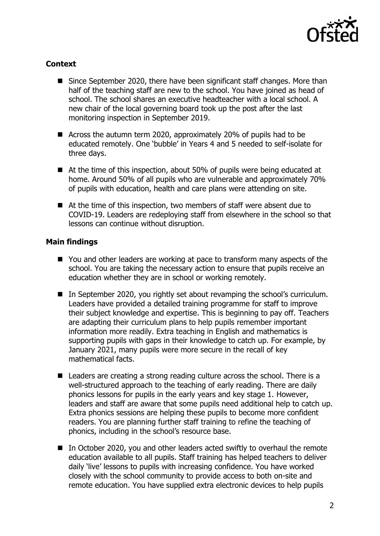

# **Context**

- Since September 2020, there have been significant staff changes. More than half of the teaching staff are new to the school. You have joined as head of school. The school shares an executive headteacher with a local school. A new chair of the local governing board took up the post after the last monitoring inspection in September 2019.
- Across the autumn term 2020, approximately 20% of pupils had to be educated remotely. One 'bubble' in Years 4 and 5 needed to self-isolate for three days.
- At the time of this inspection, about 50% of pupils were being educated at home. Around 50% of all pupils who are vulnerable and approximately 70% of pupils with education, health and care plans were attending on site.
- At the time of this inspection, two members of staff were absent due to COVID-19. Leaders are redeploying staff from elsewhere in the school so that lessons can continue without disruption.

## **Main findings**

- You and other leaders are working at pace to transform many aspects of the school. You are taking the necessary action to ensure that pupils receive an education whether they are in school or working remotely.
- In September 2020, you rightly set about revamping the school's curriculum. Leaders have provided a detailed training programme for staff to improve their subject knowledge and expertise. This is beginning to pay off. Teachers are adapting their curriculum plans to help pupils remember important information more readily. Extra teaching in English and mathematics is supporting pupils with gaps in their knowledge to catch up. For example, by January 2021, many pupils were more secure in the recall of key mathematical facts.
- Leaders are creating a strong reading culture across the school. There is a well-structured approach to the teaching of early reading. There are daily phonics lessons for pupils in the early years and key stage 1. However, leaders and staff are aware that some pupils need additional help to catch up. Extra phonics sessions are helping these pupils to become more confident readers. You are planning further staff training to refine the teaching of phonics, including in the school's resource base.
- In October 2020, you and other leaders acted swiftly to overhaul the remote education available to all pupils. Staff training has helped teachers to deliver daily 'live' lessons to pupils with increasing confidence. You have worked closely with the school community to provide access to both on-site and remote education. You have supplied extra electronic devices to help pupils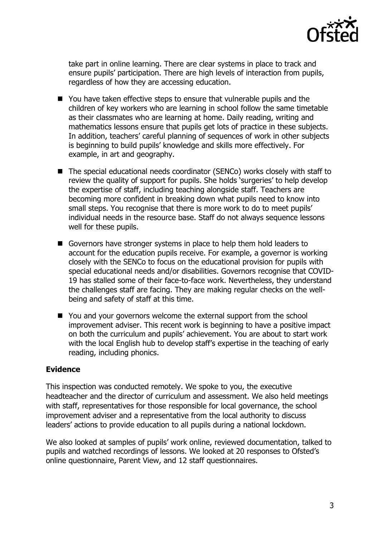

take part in online learning. There are clear systems in place to track and ensure pupils' participation. There are high levels of interaction from pupils, regardless of how they are accessing education.

- You have taken effective steps to ensure that vulnerable pupils and the children of key workers who are learning in school follow the same timetable as their classmates who are learning at home. Daily reading, writing and mathematics lessons ensure that pupils get lots of practice in these subjects. In addition, teachers' careful planning of sequences of work in other subjects is beginning to build pupils' knowledge and skills more effectively. For example, in art and geography.
- The special educational needs coordinator (SENCo) works closely with staff to review the quality of support for pupils. She holds 'surgeries' to help develop the expertise of staff, including teaching alongside staff. Teachers are becoming more confident in breaking down what pupils need to know into small steps. You recognise that there is more work to do to meet pupils' individual needs in the resource base. Staff do not always sequence lessons well for these pupils.
- Governors have stronger systems in place to help them hold leaders to account for the education pupils receive. For example, a governor is working closely with the SENCo to focus on the educational provision for pupils with special educational needs and/or disabilities. Governors recognise that COVID-19 has stalled some of their face-to-face work. Nevertheless, they understand the challenges staff are facing. They are making regular checks on the wellbeing and safety of staff at this time.
- You and your governors welcome the external support from the school improvement adviser. This recent work is beginning to have a positive impact on both the curriculum and pupils' achievement. You are about to start work with the local English hub to develop staff's expertise in the teaching of early reading, including phonics.

## **Evidence**

This inspection was conducted remotely. We spoke to you, the executive headteacher and the director of curriculum and assessment. We also held meetings with staff, representatives for those responsible for local governance, the school improvement adviser and a representative from the local authority to discuss leaders' actions to provide education to all pupils during a national lockdown.

We also looked at samples of pupils' work online, reviewed documentation, talked to pupils and watched recordings of lessons. We looked at 20 responses to Ofsted's online questionnaire, Parent View, and 12 staff questionnaires.